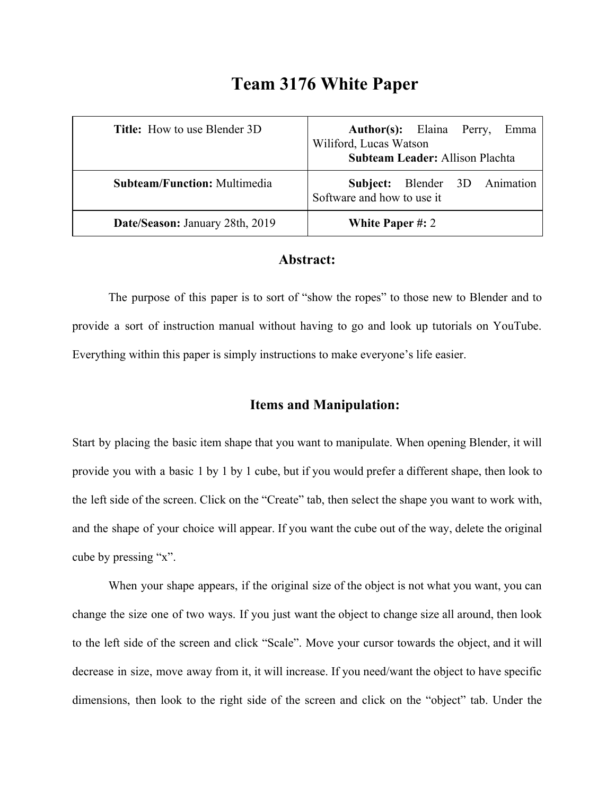# **Team 3176 White Paper**

| <b>Title:</b> How to use Blender 3D | <b>Author(s):</b> Elaina Perry,<br>Emma<br>Wiliford, Lucas Watson<br><b>Subteam Leader: Allison Plachta</b> |
|-------------------------------------|-------------------------------------------------------------------------------------------------------------|
| <b>Subteam/Function:</b> Multimedia | Subject: Blender 3D Animation<br>Software and how to use it                                                 |
| Date/Season: January 28th, 2019     | <b>White Paper #: 2</b>                                                                                     |

#### **Abstract:**

The purpose of this paper is to sort of "show the ropes" to those new to Blender and to provide a sort of instruction manual without having to go and look up tutorials on YouTube. Everything within this paper is simply instructions to make everyone's life easier.

## **Items and Manipulation:**

Start by placing the basic item shape that you want to manipulate. When opening Blender, it will provide you with a basic 1 by 1 by 1 cube, but if you would prefer a different shape, then look to the left side of the screen. Click on the "Create" tab, then select the shape you want to work with, and the shape of your choice will appear. If you want the cube out of the way, delete the original cube by pressing "x".

When your shape appears, if the original size of the object is not what you want, you can change the size one of two ways. If you just want the object to change size all around, then look to the left side of the screen and click "Scale". Move your cursor towards the object, and it will decrease in size, move away from it, it will increase. If you need/want the object to have specific dimensions, then look to the right side of the screen and click on the "object" tab. Under the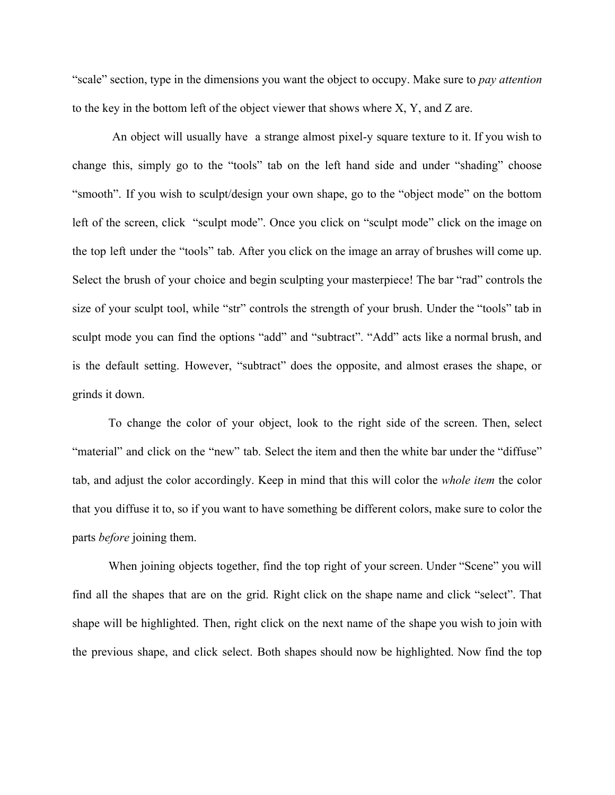"scale" section, type in the dimensions you want the object to occupy. Make sure to *pay attention* to the key in the bottom left of the object viewer that shows where X, Y, and Z are.

An object will usually have a strange almost pixel-y square texture to it. If you wish to change this, simply go to the "tools" tab on the left hand side and under "shading" choose "smooth". If you wish to sculpt/design your own shape, go to the "object mode" on the bottom left of the screen, click "sculpt mode". Once you click on "sculpt mode" click on the image on the top left under the "tools" tab. After you click on the image an array of brushes will come up. Select the brush of your choice and begin sculpting your masterpiece! The bar "rad" controls the size of your sculpt tool, while "str" controls the strength of your brush. Under the "tools" tab in sculpt mode you can find the options "add" and "subtract". "Add" acts like a normal brush, and is the default setting. However, "subtract" does the opposite, and almost erases the shape, or grinds it down.

To change the color of your object, look to the right side of the screen. Then, select "material" and click on the "new" tab. Select the item and then the white bar under the "diffuse" tab, and adjust the color accordingly. Keep in mind that this will color the *whole item* the color that you diffuse it to, so if you want to have something be different colors, make sure to color the parts *before* joining them.

When joining objects together, find the top right of your screen. Under "Scene" you will find all the shapes that are on the grid. Right click on the shape name and click "select". That shape will be highlighted. Then, right click on the next name of the shape you wish to join with the previous shape, and click select. Both shapes should now be highlighted. Now find the top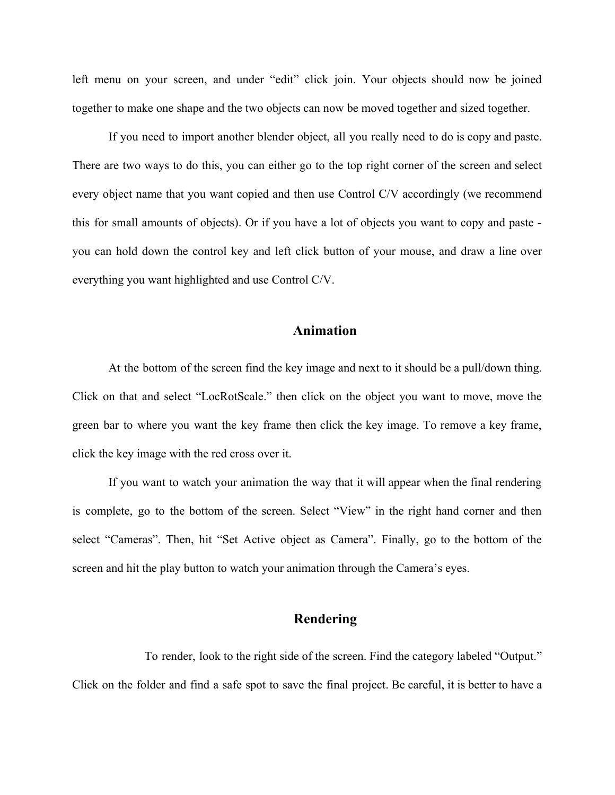left menu on your screen, and under "edit" click join. Your objects should now be joined together to make one shape and the two objects can now be moved together and sized together.

If you need to import another blender object, all you really need to do is copy and paste. There are two ways to do this, you can either go to the top right corner of the screen and select every object name that you want copied and then use Control C/V accordingly (we recommend this for small amounts of objects). Or if you have a lot of objects you want to copy and paste you can hold down the control key and left click button of your mouse, and draw a line over everything you want highlighted and use Control C/V.

### **Animation**

At the bottom of the screen find the key image and next to it should be a pull/down thing. Click on that and select "LocRotScale." then click on the object you want to move, move the green bar to where you want the key frame then click the key image. To remove a key frame, click the key image with the red cross over it.

If you want to watch your animation the way that it will appear when the final rendering is complete, go to the bottom of the screen. Select "View" in the right hand corner and then select "Cameras". Then, hit "Set Active object as Camera". Finally, go to the bottom of the screen and hit the play button to watch your animation through the Camera's eyes.

### **Rendering**

To render, look to the right side of the screen. Find the category labeled "Output." Click on the folder and find a safe spot to save the final project. Be careful, it is better to have a